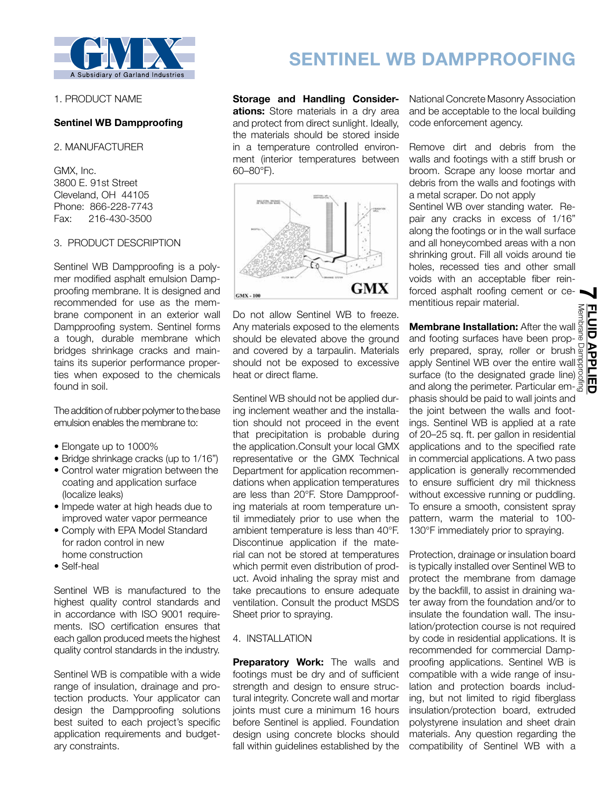

1. PRODUCT NAME

## **Sentinel WB Dampproofing**

2. MANUFACTURER

GMX, Inc. 3800 E. 91st Street Cleveland, OH 44105 Phone: 866-228-7743 Fax: 216-430-3500

## 3. PRODUCT DESCRIPTION

Sentinel WB Dampproofing is a polymer modified asphalt emulsion Dampproofing membrane. It is designed and recommended for use as the membrane component in an exterior wall Dampproofing system. Sentinel forms a tough, durable membrane which bridges shrinkage cracks and maintains its superior performance properties when exposed to the chemicals found in soil.

The addition of rubber polymer to the base emulsion enables the membrane to:

- Elongate up to 1000%
- Bridge shrinkage cracks (up to 1/16")
- Control water migration between the coating and application surface (localize leaks)
- Impede water at high heads due to improved water vapor permeance
- Comply with EPA Model Standard for radon control in new home construction
- Self-heal

Sentinel WB is manufactured to the highest quality control standards and in accordance with ISO 9001 requirements. ISO certification ensures that each gallon produced meets the highest quality control standards in the industry.

Sentinel WB is compatible with a wide range of insulation, drainage and protection products. Your applicator can design the Dampproofing solutions best suited to each project's specific application requirements and budgetary constraints.

# **SENTINEL WB DAMPPROOFING**

**Storage and Handling Considerations:** Store materials in a dry area and protect from direct sunlight. Ideally, the materials should be stored inside in a temperature controlled environment (interior temperatures between 60–80°F).



Do not allow Sentinel WB to freeze. Any materials exposed to the elements should be elevated above the ground and covered by a tarpaulin. Materials should not be exposed to excessive heat or direct flame.

Sentinel WB should not be applied during inclement weather and the installation should not proceed in the event that precipitation is probable during the application.Consult your local GMX representative or the GMX Technical Department for application recommendations when application temperatures are less than 20°F. Store Dampproofing materials at room temperature until immediately prior to use when the ambient temperature is less than 40°F. Discontinue application if the material can not be stored at temperatures which permit even distribution of product. Avoid inhaling the spray mist and take precautions to ensure adequate ventilation. Consult the product MSDS Sheet prior to spraying.

## 4. INSTALLATION

**Preparatory Work:** The walls and footings must be dry and of sufficient strength and design to ensure structural integrity. Concrete wall and mortar joints must cure a minimum 16 hours before Sentinel is applied. Foundation design using concrete blocks should fall within guidelines established by the

National Concrete Masonry Association and be acceptable to the local building code enforcement agency.

Remove dirt and debris from the walls and footings with a stiff brush or broom. Scrape any loose mortar and debris from the walls and footings with a metal scraper. Do not apply

Sentinel WB over standing water. Repair any cracks in excess of 1/16" along the footings or in the wall surface and all honeycombed areas with a non shrinking grout. Fill all voids around tie holes, recessed ties and other small voids with an acceptable fiber reinforced asphalt roofing cement or cementitious repair material. **7**

**Membrane Installation:** After the wall and footing surfaces have been properly prepared, spray, roller or brush apply Sentinel WB over the entire wall surface (to the designated grade line) **Membrane Installation:** After the wall seem and footing surfaces have been prop-<br>and footing surfaces have been prop-<br>erly prepared, spray, roller or brush apply Sentinel WB over the entire wall<br>surface (to the designated phasis should be paid to wall joints and the joint between the walls and footings. Sentinel WB is applied at a rate of 20–25 sq. ft. per gallon in residential applications and to the specified rate in commercial applications. A two pass application is generally recommended to ensure sufficient dry mil thickness without excessive running or puddling. To ensure a smooth, consistent spray pattern, warm the material to 100- 130°F immediately prior to spraying.

Protection, drainage or insulation board is typically installed over Sentinel WB to protect the membrane from damage by the backfill, to assist in draining water away from the foundation and/or to insulate the foundation wall. The insulation/protection course is not required by code in residential applications. It is recommended for commercial Dampproofing applications. Sentinel WB is compatible with a wide range of insulation and protection boards including, but not limited to rigid fiberglass insulation/protection board, extruded polystyrene insulation and sheet drain materials. Any question regarding the compatibility of Sentinel WB with a